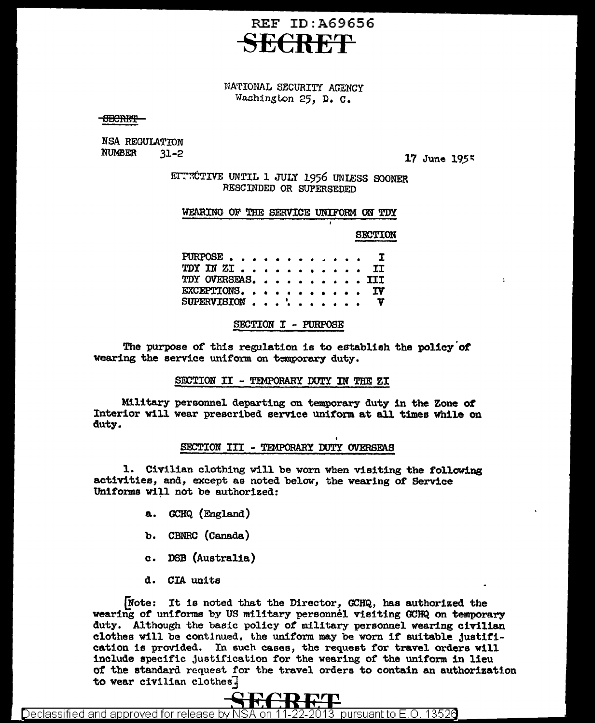# **REF ID: A69656**

## NATIONAL SECURITY AGENCY Washington 25, D. C.

<del>OBCRET</del>

NSA REGULATION **NUMBER**  $31 - 2$ 

17 June 1955

 $\overline{z}$ 

EITROTIVE UNTIL 1 JULY 1956 UNLESS SOONER RESCINDED OR SUPERSEDED

#### WEARING OF THE SERVICE UNIFORM ON TDY

**SECTION** 

PURPOSE.  $\bullet$ Ί  $\bullet$ TDY IN ZI. **TT**  $\Delta$  $\sim$ TDY OVERSEAS. **III** EXCEPTIONS. . ΙV SUPERVISION . . . . Y  $\bullet$  $\bullet$ 

SECTION I - PURPOSE

The purpose of this regulation is to establish the policy of wearing the service uniform on temporary duty.

SECTION II - TEMPORARY DUTY IN THE ZI

Military personnel departing on temporary duty in the Zone of Interior will wear prescribed service uniform at all times while on duty.

### SECTION III - TEMPORARY DUTY OVERSEAS

1. Civilian clothing will be worn when visiting the following activities, and, except as noted below, the wearing of Service Uniforms will not be authorized:

- a. GCHQ (England)
- b. CBNRC (Canada)
- c. DSB (Australia)
- d. CIA units

Note: It is noted that the Director, GCHQ, has authorized the wearing of uniforms by US military personnel visiting GCHQ on temporary duty. Although the basic policy of military personnel wearing civilian clothes will be continued, the uniform may be worn if suitable justification is provided. In such cases, the request for travel orders will include specific justification for the wearing of the uniform in lieu of the standard request for the travel orders to contain an authorization to wear civilian clothes.



Declassified and approved for release by NSA on 11-22-2013 pursuant to E.O. 13526